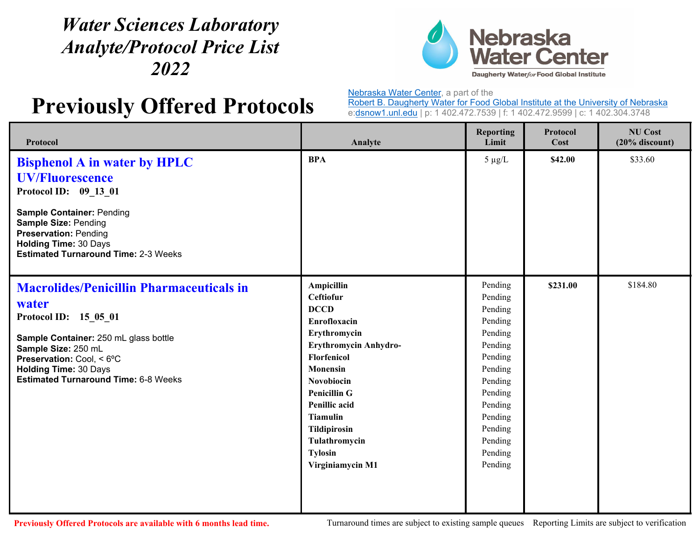## *Water Sciences Laboratory Analyte/Protocol Price List 2022*



## **Previously Offered Protocols**

Nebraska Water Center, a part of the

Robert B. Daugherty Water for Food Global Institute at the University of Nebraska e:dsnow1.unl.edu | p: 1 402.472.7539 | f: 1 402.472.9599 | c: 1 402.304.3748

| Protocol                                                                                                                                                                                                                                                      | Analyte                                                                                                                                                                                                                                                                                                                     | <b>Reporting</b><br>Limit                                                                                                                                                    | <b>Protocol</b><br>Cost | <b>NU Cost</b><br>$(20%$ discount) |
|---------------------------------------------------------------------------------------------------------------------------------------------------------------------------------------------------------------------------------------------------------------|-----------------------------------------------------------------------------------------------------------------------------------------------------------------------------------------------------------------------------------------------------------------------------------------------------------------------------|------------------------------------------------------------------------------------------------------------------------------------------------------------------------------|-------------------------|------------------------------------|
| <b>Bisphenol A in water by HPLC</b><br><b>UV/Fluorescence</b><br>Protocol ID: 09_13_01<br><b>Sample Container: Pending</b><br><b>Sample Size: Pending</b><br><b>Preservation: Pending</b>                                                                     | <b>BPA</b>                                                                                                                                                                                                                                                                                                                  | $5 \mu g/L$                                                                                                                                                                  | \$42.00                 | \$33.60                            |
| <b>Holding Time: 30 Days</b><br><b>Estimated Turnaround Time: 2-3 Weeks</b>                                                                                                                                                                                   |                                                                                                                                                                                                                                                                                                                             |                                                                                                                                                                              |                         |                                    |
| <b>Macrolides/Penicillin Pharmaceuticals in</b><br>water<br>Protocol ID: 15_05_01<br>Sample Container: 250 mL glass bottle<br>Sample Size: 250 mL<br>Preservation: Cool, < 6°C<br><b>Holding Time: 30 Days</b><br><b>Estimated Turnaround Time: 6-8 Weeks</b> | <b>Ampicillin</b><br><b>Ceftiofur</b><br><b>DCCD</b><br><b>Enrofloxacin</b><br>Erythromycin<br>Erythromycin Anhydro-<br><b>Florfenicol</b><br><b>Monensin</b><br><b>Novobiocin</b><br><b>Penicillin G</b><br>Penillic acid<br><b>Tiamulin</b><br><b>Tildipirosin</b><br>Tulathromycin<br><b>Tylosin</b><br>Virginiamycin M1 | Pending<br>Pending<br>Pending<br>Pending<br>Pending<br>Pending<br>Pending<br>Pending<br>Pending<br>Pending<br>Pending<br>Pending<br>Pending<br>Pending<br>Pending<br>Pending | \$231.00                | \$184.80                           |
|                                                                                                                                                                                                                                                               |                                                                                                                                                                                                                                                                                                                             |                                                                                                                                                                              |                         |                                    |

**Previousl**

Turnaround times are subject to existing sample queues Reporting Limits are subject to verification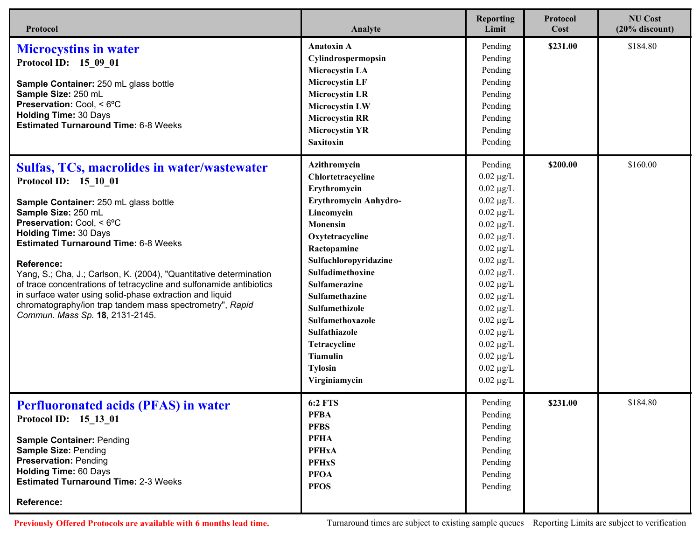| Protocol                                                                                                                                                                                                                                                                                                                                                                                                                                                                                                                                                               | Analyte                                                                                                                                                                                                                                                                                                                                                           | <b>Reporting</b><br>Limit                                                                                                                                                                                                                                                                                                                                                                            | Protocol<br>Cost | <b>NU Cost</b><br>$(20%$ discount) |
|------------------------------------------------------------------------------------------------------------------------------------------------------------------------------------------------------------------------------------------------------------------------------------------------------------------------------------------------------------------------------------------------------------------------------------------------------------------------------------------------------------------------------------------------------------------------|-------------------------------------------------------------------------------------------------------------------------------------------------------------------------------------------------------------------------------------------------------------------------------------------------------------------------------------------------------------------|------------------------------------------------------------------------------------------------------------------------------------------------------------------------------------------------------------------------------------------------------------------------------------------------------------------------------------------------------------------------------------------------------|------------------|------------------------------------|
| <b>Microcystins in water</b><br>Protocol ID: 15 09 01<br>Sample Container: 250 mL glass bottle<br>Sample Size: 250 mL<br>Preservation: Cool, < 6°C<br><b>Holding Time: 30 Days</b><br><b>Estimated Turnaround Time: 6-8 Weeks</b>                                                                                                                                                                                                                                                                                                                                      | <b>Anatoxin A</b><br>Cylindrospermopsin<br><b>Microcystin LA</b><br><b>Microcystin LF</b><br><b>Microcystin LR</b><br><b>Microcystin LW</b><br><b>Microcystin RR</b><br><b>Microcystin YR</b><br><b>Saxitoxin</b>                                                                                                                                                 | Pending<br>Pending<br>Pending<br>Pending<br>Pending<br>Pending<br>Pending<br>Pending<br>Pending                                                                                                                                                                                                                                                                                                      | \$231.00         | \$184.80                           |
| Sulfas, TCs, macrolides in water/wastewater<br>Protocol ID: 15 10 01<br>Sample Container: 250 mL glass bottle<br>Sample Size: 250 mL<br>Preservation: Cool, < 6°C<br><b>Holding Time: 30 Days</b><br><b>Estimated Turnaround Time: 6-8 Weeks</b><br>Reference:<br>Yang, S.; Cha, J.; Carlson, K. (2004), "Quantitative determination<br>of trace concentrations of tetracycline and sulfonamide antibiotics<br>in surface water using solid-phase extraction and liquid<br>chromatography/ion trap tandem mass spectrometry", Rapid<br>Commun. Mass Sp. 18, 2131-2145. | Azithromycin<br>Chlortetracycline<br>Erythromycin<br>Erythromycin Anhydro-<br>Lincomycin<br><b>Monensin</b><br>Oxytetracycline<br>Ractopamine<br>Sulfachloropyridazine<br>Sulfadimethoxine<br><b>Sulfamerazine</b><br>Sulfamethazine<br>Sulfamethizole<br>Sulfamethoxazole<br>Sulfathiazole<br>Tetracycline<br><b>Tiamulin</b><br><b>Tylosin</b><br>Virginiamycin | Pending<br>$0.02 \mu g/L$<br>$0.02 \ \mu g/L$<br>$0.02 \mu g/L$<br>$0.02 \ \mu g/L$<br>$0.02~\mu\text{g}/\text{L}$<br>$0.02 \mu g/L$<br>$0.02 \mu g/L$<br>$0.02 \ \mu g/L$<br>$0.02~\mu\text{g}/\text{L}$<br>$0.02 \mu g/L$<br>$0.02 \ \mu g/L$<br>$0.02 \ \mu g/L$<br>$0.02~\mu\text{g}/\text{L}$<br>$0.02 \ \mu g/L$<br>$0.02 \ \mu g/L$<br>$0.02 \ \mu g/L$<br>$0.02 \ \mu g/L$<br>$0.02 \mu g/L$ | \$200.00         | \$160.00                           |
| <b>Perfluoronated acids (PFAS) in water</b><br>Protocol ID: 15 13 01<br><b>Sample Container: Pending</b><br>Sample Size: Pending<br><b>Preservation: Pending</b><br><b>Holding Time: 60 Days</b><br><b>Estimated Turnaround Time: 2-3 Weeks</b><br>Reference:                                                                                                                                                                                                                                                                                                          | <b>6:2 FTS</b><br><b>PFBA</b><br><b>PFBS</b><br><b>PFHA</b><br><b>PFHxA</b><br><b>PFHxS</b><br><b>PFOA</b><br><b>PFOS</b>                                                                                                                                                                                                                                         | Pending<br>Pending<br>Pending<br>Pending<br>Pending<br>Pending<br>Pending<br>Pending                                                                                                                                                                                                                                                                                                                 | \$231.00         | \$184.80                           |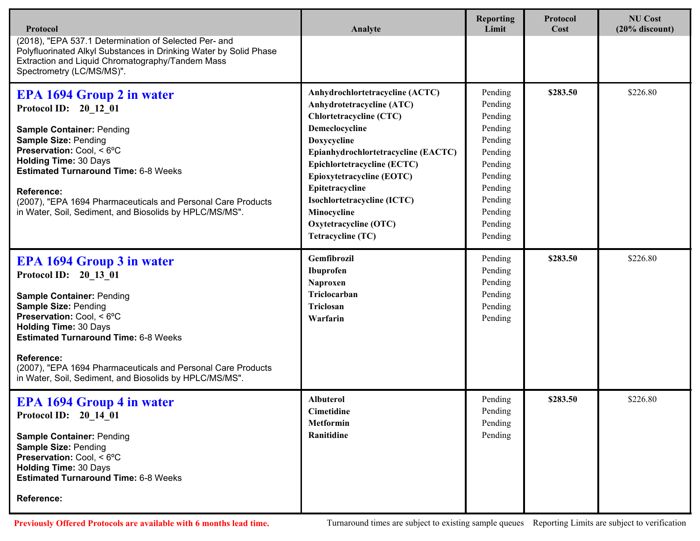| Protocol                                                                                                                                                                                                                                                                                                                                                                          | Analyte                                                                                                                                                                                                                                                                                                                                           | <b>Reporting</b><br>Limit                                                                                                                   | <b>Protocol</b><br>Cost | <b>NU Cost</b><br>$(20%$ discount) |
|-----------------------------------------------------------------------------------------------------------------------------------------------------------------------------------------------------------------------------------------------------------------------------------------------------------------------------------------------------------------------------------|---------------------------------------------------------------------------------------------------------------------------------------------------------------------------------------------------------------------------------------------------------------------------------------------------------------------------------------------------|---------------------------------------------------------------------------------------------------------------------------------------------|-------------------------|------------------------------------|
| (2018), "EPA 537.1 Determination of Selected Per- and<br>Polyfluorinated Alkyl Substances in Drinking Water by Solid Phase<br>Extraction and Liquid Chromatography/Tandem Mass<br>Spectrometry (LC/MS/MS)".                                                                                                                                                                       |                                                                                                                                                                                                                                                                                                                                                   |                                                                                                                                             |                         |                                    |
| <b>EPA 1694 Group 2 in water</b><br>Protocol ID: 20 12 01<br><b>Sample Container: Pending</b><br>Sample Size: Pending<br>Preservation: Cool, < 6°C<br><b>Holding Time: 30 Days</b><br><b>Estimated Turnaround Time: 6-8 Weeks</b><br><b>Reference:</b><br>(2007), "EPA 1694 Pharmaceuticals and Personal Care Products<br>in Water, Soil, Sediment, and Biosolids by HPLC/MS/MS". | Anhydrochlortetracycline (ACTC)<br>Anhydrotetracycline (ATC)<br><b>Chlortetracycline (CTC)</b><br>Demeclocycline<br>Doxycycline<br>Epianhydrochlortetracycline (EACTC)<br>Epichlortetracycline (ECTC)<br>Epioxytetracycline (EOTC)<br>Epitetracycline<br>Isochlortetracycline (ICTC)<br>Minocycline<br>Oxytetracycline (OTC)<br>Tetracycline (TC) | Pending<br>Pending<br>Pending<br>Pending<br>Pending<br>Pending<br>Pending<br>Pending<br>Pending<br>Pending<br>Pending<br>Pending<br>Pending | \$283.50                | \$226.80                           |
| <b>EPA 1694 Group 3 in water</b><br>Protocol ID: 20 13 01<br>Sample Container: Pending<br><b>Sample Size: Pending</b><br>Preservation: Cool, < 6°C<br><b>Holding Time: 30 Days</b><br><b>Estimated Turnaround Time: 6-8 Weeks</b><br><b>Reference:</b><br>(2007), "EPA 1694 Pharmaceuticals and Personal Care Products<br>in Water, Soil, Sediment, and Biosolids by HPLC/MS/MS". | Gemfibrozil<br>Ibuprofen<br>Naproxen<br>Triclocarban<br>Triclosan<br>Warfarin                                                                                                                                                                                                                                                                     | Pending<br>Pending<br>Pending<br>Pending<br>Pending<br>Pending                                                                              | \$283.50                | \$226.80                           |
| <b>EPA 1694 Group 4 in water</b><br>Protocol ID: 20 14 01<br><b>Sample Container: Pending</b><br><b>Sample Size: Pending</b><br>Preservation: Cool, < 6°C<br><b>Holding Time: 30 Days</b><br><b>Estimated Turnaround Time: 6-8 Weeks</b><br><b>Reference:</b>                                                                                                                     | <b>Albuterol</b><br><b>Cimetidine</b><br><b>Metformin</b><br>Ranitidine                                                                                                                                                                                                                                                                           | Pending<br>Pending<br>Pending<br>Pending                                                                                                    | \$283.50                | \$226.80                           |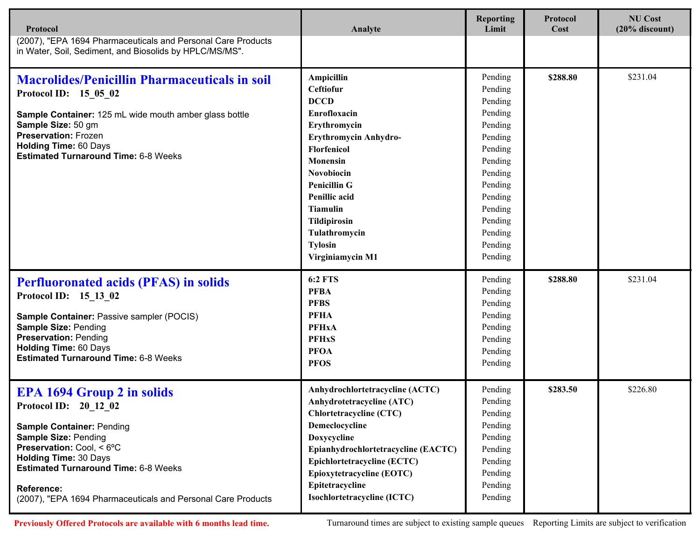| Protocol                                                                                                                                                                                                                                                                                                                | Analyte                                                                                                                                                                                                                                                                                                       | <b>Reporting</b><br>Limit                                                                                                                                                    | <b>Protocol</b><br>Cost | <b>NU Cost</b><br>$(20%$ discount) |
|-------------------------------------------------------------------------------------------------------------------------------------------------------------------------------------------------------------------------------------------------------------------------------------------------------------------------|---------------------------------------------------------------------------------------------------------------------------------------------------------------------------------------------------------------------------------------------------------------------------------------------------------------|------------------------------------------------------------------------------------------------------------------------------------------------------------------------------|-------------------------|------------------------------------|
| (2007), "EPA 1694 Pharmaceuticals and Personal Care Products<br>in Water, Soil, Sediment, and Biosolids by HPLC/MS/MS".                                                                                                                                                                                                 |                                                                                                                                                                                                                                                                                                               |                                                                                                                                                                              |                         |                                    |
| <b>Macrolides/Penicillin Pharmaceuticals in soil</b><br>Protocol ID: 15 05 02<br>Sample Container: 125 mL wide mouth amber glass bottle<br>Sample Size: 50 gm<br><b>Preservation: Frozen</b><br><b>Holding Time: 60 Days</b><br><b>Estimated Turnaround Time: 6-8 Weeks</b>                                             | <b>Ampicillin</b><br><b>Ceftiofur</b><br><b>DCCD</b><br>Enrofloxacin<br>Erythromycin<br>Erythromycin Anhydro-<br><b>Florfenicol</b><br>Monensin<br>Novobiocin<br><b>Penicillin G</b><br><b>Penillic</b> acid<br><b>Tiamulin</b><br><b>Tildipirosin</b><br>Tulathromycin<br><b>Tylosin</b><br>Virginiamycin M1 | Pending<br>Pending<br>Pending<br>Pending<br>Pending<br>Pending<br>Pending<br>Pending<br>Pending<br>Pending<br>Pending<br>Pending<br>Pending<br>Pending<br>Pending<br>Pending | \$288.80                | \$231.04                           |
| <b>Perfluoronated acids (PFAS) in solids</b><br>Protocol ID: 15 13 02<br>Sample Container: Passive sampler (POCIS)<br><b>Sample Size: Pending</b><br><b>Preservation: Pending</b><br><b>Holding Time: 60 Days</b><br><b>Estimated Turnaround Time: 6-8 Weeks</b>                                                        | <b>6:2 FTS</b><br><b>PFBA</b><br><b>PFBS</b><br><b>PFHA</b><br><b>PFHxA</b><br><b>PFHxS</b><br><b>PFOA</b><br><b>PFOS</b>                                                                                                                                                                                     | Pending<br>Pending<br>Pending<br>Pending<br>Pending<br>Pending<br>Pending<br>Pending                                                                                         | \$288.80                | \$231.04                           |
| <b>EPA 1694 Group 2 in solids</b><br>Protocol ID: 20_12_02<br><b>Sample Container: Pending</b><br>Sample Size: Pending<br>Preservation: Cool, < 6°C<br><b>Holding Time: 30 Days</b><br><b>Estimated Turnaround Time: 6-8 Weeks</b><br><b>Reference:</b><br>(2007), "EPA 1694 Pharmaceuticals and Personal Care Products | Anhydrochlortetracycline (ACTC)<br><b>Anhydrotetracycline (ATC)</b><br><b>Chlortetracycline (CTC)</b><br>Demeclocycline<br>Doxycycline<br>Epianhydrochlortetracycline (EACTC)<br><b>Epichlortetracycline (ECTC)</b><br>Epioxytetracycline (EOTC)<br>Epitetracycline<br>Isochlortetracycline (ICTC)            | Pending<br>Pending<br>Pending<br>Pending<br>Pending<br>Pending<br>Pending<br>Pending<br>Pending<br>Pending                                                                   | \$283.50                | \$226.80                           |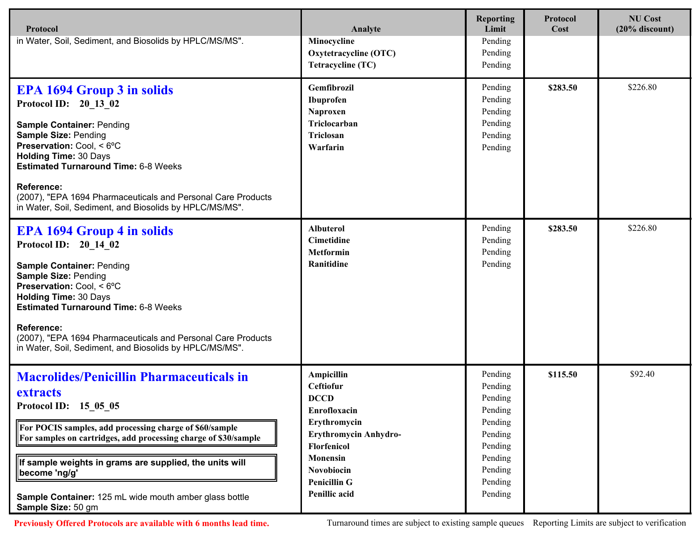| Protocol                                                                                                                                                                                                                                                                                                                                                                                  | Analyte                                                                                                                                                                                               | <b>Reporting</b><br>Limit                                                                                             | Protocol<br>Cost | <b>NU Cost</b><br>$(20%$ discount) |
|-------------------------------------------------------------------------------------------------------------------------------------------------------------------------------------------------------------------------------------------------------------------------------------------------------------------------------------------------------------------------------------------|-------------------------------------------------------------------------------------------------------------------------------------------------------------------------------------------------------|-----------------------------------------------------------------------------------------------------------------------|------------------|------------------------------------|
| in Water, Soil, Sediment, and Biosolids by HPLC/MS/MS".                                                                                                                                                                                                                                                                                                                                   | Minocycline<br>Oxytetracycline (OTC)<br><b>Tetracycline (TC)</b>                                                                                                                                      | Pending<br>Pending<br>Pending                                                                                         |                  |                                    |
| <b>EPA 1694 Group 3 in solids</b><br>Protocol ID: 20 13 02<br><b>Sample Container: Pending</b><br><b>Sample Size: Pending</b><br>Preservation: Cool, < 6°C<br><b>Holding Time: 30 Days</b><br><b>Estimated Turnaround Time: 6-8 Weeks</b><br><b>Reference:</b><br>(2007), "EPA 1694 Pharmaceuticals and Personal Care Products<br>in Water, Soil, Sediment, and Biosolids by HPLC/MS/MS". | Gemfibrozil<br>Ibuprofen<br>Naproxen<br>Triclocarban<br>Triclosan<br>Warfarin                                                                                                                         | Pending<br>Pending<br>Pending<br>Pending<br>Pending<br>Pending                                                        | \$283.50         | \$226.80                           |
| <b>EPA 1694 Group 4 in solids</b><br>Protocol ID: 20 14 02<br><b>Sample Container: Pending</b><br><b>Sample Size: Pending</b><br>Preservation: Cool, < 6°C<br><b>Holding Time: 30 Days</b><br><b>Estimated Turnaround Time: 6-8 Weeks</b><br><b>Reference:</b><br>(2007), "EPA 1694 Pharmaceuticals and Personal Care Products<br>in Water, Soil, Sediment, and Biosolids by HPLC/MS/MS". | <b>Albuterol</b><br><b>Cimetidine</b><br><b>Metformin</b><br>Ranitidine                                                                                                                               | Pending<br>Pending<br>Pending<br>Pending                                                                              | \$283.50         | \$226.80                           |
| <b>Macrolides/Penicillin Pharmaceuticals in</b><br>extracts<br>Protocol ID: 15_05_05<br>For POCIS samples, add processing charge of \$60/sample<br>For samples on cartridges, add processing charge of \$30/sample<br>If sample weights in grams are supplied, the units will<br>become 'ng/g'<br>Sample Container: 125 mL wide mouth amber glass bottle<br>Sample Size: 50 gm            | Ampicillin<br>Ceftiofur<br><b>DCCD</b><br>Enrofloxacin<br>Erythromycin<br>Erythromycin Anhydro-<br><b>Florfenicol</b><br><b>Monensin</b><br>Novobiocin<br><b>Penicillin G</b><br><b>Penillic acid</b> | Pending<br>Pending<br>Pending<br>Pending<br>Pending<br>Pending<br>Pending<br>Pending<br>Pending<br>Pending<br>Pending | \$115.50         | \$92.40                            |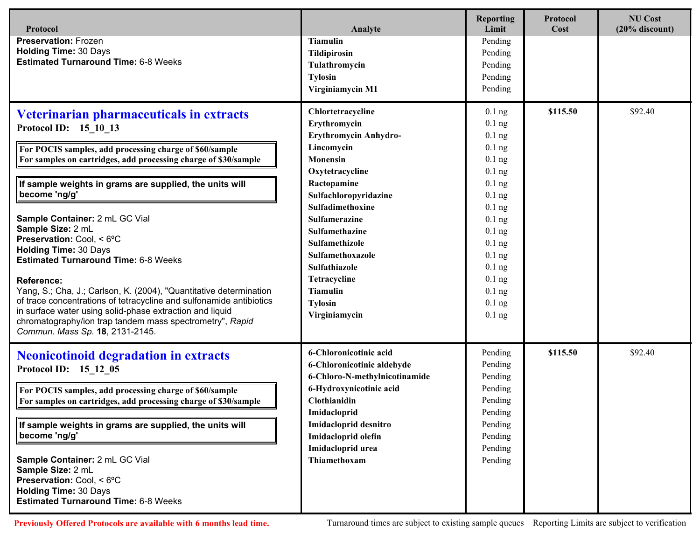| Protocol                                                                                                                                                                                                                                                                                                                                                                                                                                                                                                                                                                                                                                                                                                                                                                    | Analyte                                                                                                                                                                                                                                                                                                                                                  | <b>Reporting</b><br>Limit                                                                                                                                                                                            | Protocol<br>Cost | <b>NU Cost</b><br>$(20%$ discount) |
|-----------------------------------------------------------------------------------------------------------------------------------------------------------------------------------------------------------------------------------------------------------------------------------------------------------------------------------------------------------------------------------------------------------------------------------------------------------------------------------------------------------------------------------------------------------------------------------------------------------------------------------------------------------------------------------------------------------------------------------------------------------------------------|----------------------------------------------------------------------------------------------------------------------------------------------------------------------------------------------------------------------------------------------------------------------------------------------------------------------------------------------------------|----------------------------------------------------------------------------------------------------------------------------------------------------------------------------------------------------------------------|------------------|------------------------------------|
| <b>Preservation: Frozen</b><br><b>Holding Time: 30 Days</b><br><b>Estimated Turnaround Time: 6-8 Weeks</b>                                                                                                                                                                                                                                                                                                                                                                                                                                                                                                                                                                                                                                                                  | <b>Tiamulin</b><br><b>Tildipirosin</b><br>Tulathromycin<br><b>Tylosin</b><br>Virginiamycin M1                                                                                                                                                                                                                                                            | Pending<br>Pending<br>Pending<br>Pending<br>Pending                                                                                                                                                                  |                  |                                    |
| Veterinarian pharmaceuticals in extracts<br>Protocol ID: 15 10 13<br>For POCIS samples, add processing charge of \$60/sample<br>For samples on cartridges, add processing charge of \$30/sample<br>If sample weights in grams are supplied, the units will<br>become 'ng/g'<br>Sample Container: 2 mL GC Vial<br>Sample Size: 2 mL<br>Preservation: Cool. < 6°C<br><b>Holding Time: 30 Days</b><br><b>Estimated Turnaround Time: 6-8 Weeks</b><br><b>Reference:</b><br>Yang, S.; Cha, J.; Carlson, K. (2004), "Quantitative determination<br>of trace concentrations of tetracycline and sulfonamide antibiotics<br>in surface water using solid-phase extraction and liquid<br>chromatography/ion trap tandem mass spectrometry", Rapid<br>Commun. Mass Sp. 18, 2131-2145. | Chlortetracycline<br>Erythromycin<br>Erythromycin Anhydro-<br>Lincomycin<br><b>Monensin</b><br>Oxytetracycline<br>Ractopamine<br>Sulfachloropyridazine<br>Sulfadimethoxine<br><b>Sulfamerazine</b><br>Sulfamethazine<br>Sulfamethizole<br><b>Sulfamethoxazole</b><br>Sulfathiazole<br>Tetracycline<br><b>Tiamulin</b><br><b>Tylosin</b><br>Virginiamycin | $0.1$ ng<br>$0.1$ ng<br>$0.1$ ng<br>$0.1$ ng<br>$0.1$ ng<br>$0.1$ ng<br>$0.1$ ng<br>$0.1$ ng<br>$0.1$ ng<br>$0.1$ ng<br>$0.1$ ng<br>$0.1$ ng<br>$0.1$ ng<br>$0.1$ ng<br>$0.1$ ng<br>$0.1$ ng<br>$0.1$ ng<br>$0.1$ ng | \$115.50         | \$92.40                            |
| <b>Neonicotinoid degradation in extracts</b><br>Protocol ID: 15 12 05<br>For POCIS samples, add processing charge of \$60/sample<br>For samples on cartridges, add processing charge of \$30/sample<br>If sample weights in grams are supplied, the units will<br>become 'ng/g'<br>Sample Container: 2 mL GC Vial<br>Sample Size: 2 mL<br>Preservation: Cool, < 6°C<br><b>Holding Time: 30 Days</b><br><b>Estimated Turnaround Time: 6-8 Weeks</b>                                                                                                                                                                                                                                                                                                                          | 6-Chloronicotinic acid<br>6-Chloronicotinic aldehyde<br>6-Chloro-N-methylnicotinamide<br>6-Hydroxynicotinic acid<br>Clothianidin<br>Imidacloprid<br>Imidacloprid desnitro<br>Imidacloprid olefin<br>Imidacloprid urea<br><b>Thiamethoxam</b>                                                                                                             | Pending<br>Pending<br>Pending<br>Pending<br>Pending<br>Pending<br>Pending<br>Pending<br>Pending<br>Pending                                                                                                           | \$115.50         | \$92.40                            |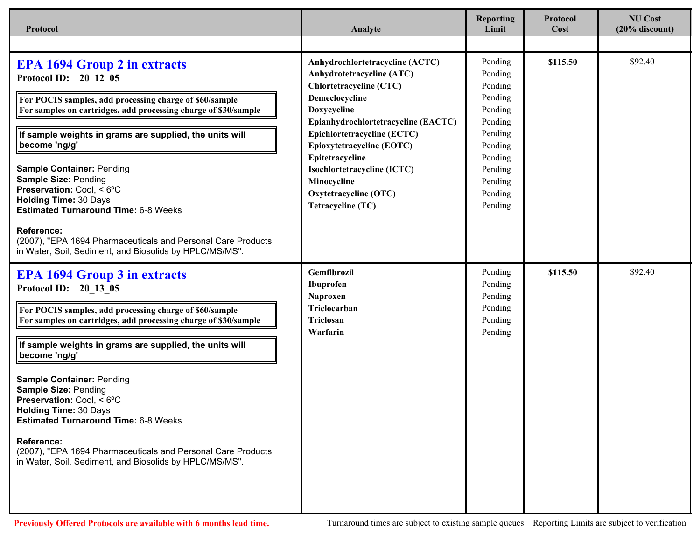| Protocol                                                                                                                                                                                                                                                                                                                                                                                                                                                                                                                                                                                              | Analyte                                                                                                                                                                                                                                                                                                                                                  | <b>Reporting</b><br>Limit                                                                                                                   | <b>Protocol</b><br>Cost | <b>NU Cost</b><br>$(20\%$ discount) |
|-------------------------------------------------------------------------------------------------------------------------------------------------------------------------------------------------------------------------------------------------------------------------------------------------------------------------------------------------------------------------------------------------------------------------------------------------------------------------------------------------------------------------------------------------------------------------------------------------------|----------------------------------------------------------------------------------------------------------------------------------------------------------------------------------------------------------------------------------------------------------------------------------------------------------------------------------------------------------|---------------------------------------------------------------------------------------------------------------------------------------------|-------------------------|-------------------------------------|
|                                                                                                                                                                                                                                                                                                                                                                                                                                                                                                                                                                                                       |                                                                                                                                                                                                                                                                                                                                                          |                                                                                                                                             |                         |                                     |
| <b>EPA 1694 Group 2 in extracts</b><br>Protocol ID: 20_12_05<br>For POCIS samples, add processing charge of \$60/sample<br>For samples on cartridges, add processing charge of \$30/sample<br>If sample weights in grams are supplied, the units will<br>become 'ng/g'<br><b>Sample Container: Pending</b><br><b>Sample Size: Pending</b><br>Preservation: Cool, < 6°C<br><b>Holding Time: 30 Days</b><br><b>Estimated Turnaround Time: 6-8 Weeks</b><br><b>Reference:</b><br>(2007), "EPA 1694 Pharmaceuticals and Personal Care Products<br>in Water, Soil, Sediment, and Biosolids by HPLC/MS/MS". | Anhydrochlortetracycline (ACTC)<br>Anhydrotetracycline (ATC)<br><b>Chlortetracycline (CTC)</b><br>Demeclocycline<br>Doxycycline<br>Epianhydrochlortetracycline (EACTC)<br>Epichlortetracycline (ECTC)<br>Epioxytetracycline (EOTC)<br>Epitetracycline<br>Isochlortetracycline (ICTC)<br>Minocycline<br>Oxytetracycline (OTC)<br><b>Tetracycline (TC)</b> | Pending<br>Pending<br>Pending<br>Pending<br>Pending<br>Pending<br>Pending<br>Pending<br>Pending<br>Pending<br>Pending<br>Pending<br>Pending | \$115.50                | \$92.40                             |
| <b>EPA 1694 Group 3 in extracts</b><br>Protocol ID: 20 13 05<br>For POCIS samples, add processing charge of \$60/sample<br>For samples on cartridges, add processing charge of \$30/sample<br>If sample weights in grams are supplied, the units will<br>become 'ng/g'<br><b>Sample Container: Pending</b><br><b>Sample Size: Pending</b><br>Preservation: Cool, < 6°C<br><b>Holding Time: 30 Days</b><br><b>Estimated Turnaround Time: 6-8 Weeks</b><br><b>Reference:</b><br>(2007), "EPA 1694 Pharmaceuticals and Personal Care Products<br>in Water, Soil, Sediment, and Biosolids by HPLC/MS/MS". | Gemfibrozil<br>Ibuprofen<br>Naproxen<br>Triclocarban<br>Triclosan<br>Warfarin                                                                                                                                                                                                                                                                            | Pending<br>Pending<br>Pending<br>Pending<br>Pending<br>Pending                                                                              | \$115.50                | \$92.40                             |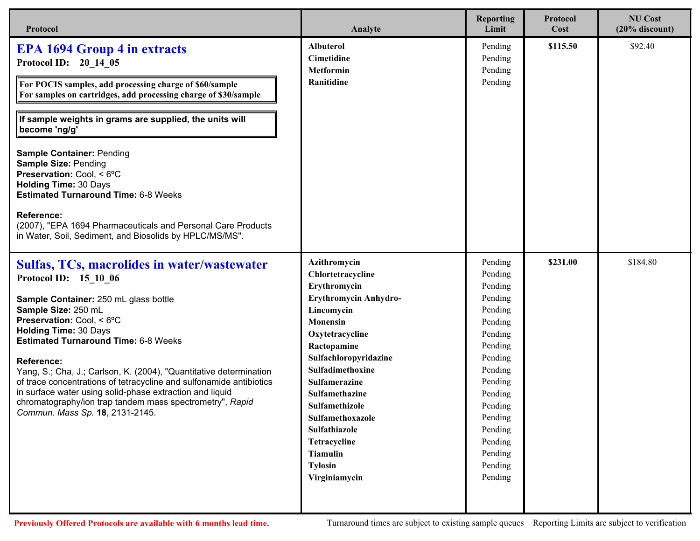| Protocol                                                                                                                                                                                                                                                                                                                                                                                                                                                                                                                                                                                              | Analyte                                                                                                                                                                                                                                                                                                                                                    | <b>Reporting</b><br>Limit                                                                                                                                                                                     | Protocol<br>Cost | <b>NU Cost</b><br>$(20%$ discount) |
|-------------------------------------------------------------------------------------------------------------------------------------------------------------------------------------------------------------------------------------------------------------------------------------------------------------------------------------------------------------------------------------------------------------------------------------------------------------------------------------------------------------------------------------------------------------------------------------------------------|------------------------------------------------------------------------------------------------------------------------------------------------------------------------------------------------------------------------------------------------------------------------------------------------------------------------------------------------------------|---------------------------------------------------------------------------------------------------------------------------------------------------------------------------------------------------------------|------------------|------------------------------------|
| <b>EPA 1694 Group 4 in extracts</b><br>Protocol ID: 20 14 05<br>For POCIS samples, add processing charge of \$60/sample<br>For samples on cartridges, add processing charge of \$30/sample<br>If sample weights in grams are supplied, the units will<br>become 'ng/g'<br><b>Sample Container: Pending</b><br><b>Sample Size: Pending</b><br>Preservation: Cool, < 6°C<br><b>Holding Time: 30 Days</b><br><b>Estimated Turnaround Time: 6-8 Weeks</b><br><b>Reference:</b><br>(2007), "EPA 1694 Pharmaceuticals and Personal Care Products<br>in Water, Soil, Sediment, and Biosolids by HPLC/MS/MS". | <b>Albuterol</b><br><b>Cimetidine</b><br><b>Metformin</b><br>Ranitidine                                                                                                                                                                                                                                                                                    | Pending<br>Pending<br>Pending<br>Pending                                                                                                                                                                      | \$115.50         | \$92.40                            |
| Sulfas, TCs, macrolides in water/wastewater<br>Protocol ID: 15 10 06<br>Sample Container: 250 mL glass bottle<br>Sample Size: 250 mL<br>Preservation: Cool, < 6°C<br><b>Holding Time: 30 Days</b><br><b>Estimated Turnaround Time: 6-8 Weeks</b><br><b>Reference:</b><br>Yang, S.; Cha, J.; Carlson, K. (2004), "Quantitative determination<br>of trace concentrations of tetracycline and sulfonamide antibiotics<br>in surface water using solid-phase extraction and liquid<br>chromatography/ion trap tandem mass spectrometry", Rapid<br>Commun. Mass Sp. 18, 2131-2145.                         | Azithromycin<br>Chlortetracycline<br>Erythromycin<br>Erythromycin Anhydro-<br>Lincomycin<br><b>Monensin</b><br>Oxytetracycline<br>Ractopamine<br>Sulfachloropyridazine<br>Sulfadimethoxine<br>Sulfamerazine<br>Sulfamethazine<br>Sulfamethizole<br>Sulfamethoxazole<br>Sulfathiazole<br>Tetracycline<br><b>Tiamulin</b><br><b>Tylosin</b><br>Virginiamycin | Pending<br>Pending<br>Pending<br>Pending<br>Pending<br>Pending<br>Pending<br>Pending<br>Pending<br>Pending<br>Pending<br>Pending<br>Pending<br>Pending<br>Pending<br>Pending<br>Pending<br>Pending<br>Pending | \$231.00         | \$184.80                           |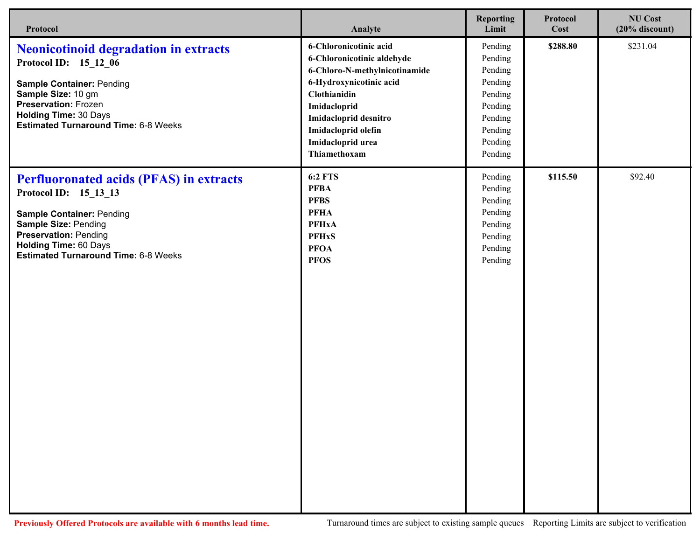| Protocol                                                                                                                                                                                                                                           | Analyte                                                                                                                                                                                                                               | <b>Reporting</b><br>Limit                                                                                  | Protocol<br>Cost | <b>NU Cost</b><br>$(20%$ discount) |
|----------------------------------------------------------------------------------------------------------------------------------------------------------------------------------------------------------------------------------------------------|---------------------------------------------------------------------------------------------------------------------------------------------------------------------------------------------------------------------------------------|------------------------------------------------------------------------------------------------------------|------------------|------------------------------------|
| <b>Neonicotinoid degradation in extracts</b><br>Protocol ID: 15_12_06<br><b>Sample Container: Pending</b><br>Sample Size: 10 gm<br><b>Preservation: Frozen</b><br><b>Holding Time: 30 Days</b><br><b>Estimated Turnaround Time: 6-8 Weeks</b>      | 6-Chloronicotinic acid<br>6-Chloronicotinic aldehyde<br>6-Chloro-N-methylnicotinamide<br>6-Hydroxynicotinic acid<br>Clothianidin<br>Imidacloprid<br>Imidacloprid desnitro<br>Imidacloprid olefin<br>Imidacloprid urea<br>Thiamethoxam | Pending<br>Pending<br>Pending<br>Pending<br>Pending<br>Pending<br>Pending<br>Pending<br>Pending<br>Pending | \$288.80         | \$231.04                           |
| <b>Perfluoronated acids (PFAS) in extracts</b><br>Protocol ID: 15_13_13<br><b>Sample Container: Pending</b><br>Sample Size: Pending<br><b>Preservation: Pending</b><br><b>Holding Time: 60 Days</b><br><b>Estimated Turnaround Time: 6-8 Weeks</b> | <b>6:2 FTS</b><br><b>PFBA</b><br><b>PFBS</b><br><b>PFHA</b><br><b>PFHxA</b><br><b>PFHxS</b><br><b>PFOA</b><br><b>PFOS</b>                                                                                                             | Pending<br>Pending<br>Pending<br>Pending<br>Pending<br>Pending<br>Pending<br>Pending                       | \$115.50         | \$92.40                            |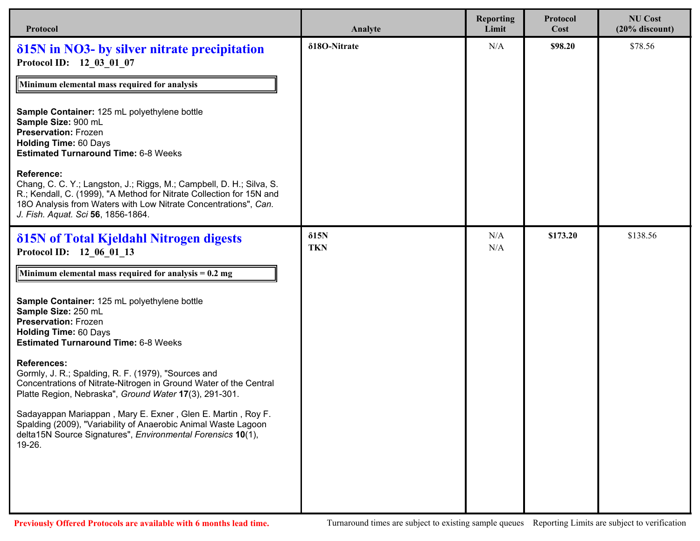| Protocol                                                                                                                                                                                                                                                                   | Analyte                    | <b>Reporting</b><br>Limit | Protocol<br>Cost | <b>NU Cost</b><br>$(20%$ discount) |
|----------------------------------------------------------------------------------------------------------------------------------------------------------------------------------------------------------------------------------------------------------------------------|----------------------------|---------------------------|------------------|------------------------------------|
| <b>815N</b> in NO3- by silver nitrate precipitation<br>Protocol ID: 12 03 01 07                                                                                                                                                                                            | δ18O-Nitrate               | N/A                       | \$98.20          | \$78.56                            |
| Minimum elemental mass required for analysis                                                                                                                                                                                                                               |                            |                           |                  |                                    |
| Sample Container: 125 mL polyethylene bottle<br>Sample Size: 900 mL<br><b>Preservation: Frozen</b><br><b>Holding Time: 60 Days</b><br><b>Estimated Turnaround Time: 6-8 Weeks</b>                                                                                          |                            |                           |                  |                                    |
| <b>Reference:</b><br>Chang, C. C. Y.; Langston, J.; Riggs, M.; Campbell, D. H.; Silva, S.<br>R.; Kendall, C. (1999), "A Method for Nitrate Collection for 15N and<br>180 Analysis from Waters with Low Nitrate Concentrations", Can.<br>J. Fish. Aquat. Sci 56, 1856-1864. |                            |                           |                  |                                    |
| <b>δ15N</b> of Total Kjeldahl Nitrogen digests<br>Protocol ID: 12 06 01 13                                                                                                                                                                                                 | $\delta$ 15N<br><b>TKN</b> | N/A<br>N/A                | \$173.20         | \$138.56                           |
| Minimum elemental mass required for analysis = $0.2 \text{ mg}$                                                                                                                                                                                                            |                            |                           |                  |                                    |
| Sample Container: 125 mL polyethylene bottle<br>Sample Size: 250 mL<br><b>Preservation: Frozen</b><br><b>Holding Time: 60 Days</b><br><b>Estimated Turnaround Time: 6-8 Weeks</b>                                                                                          |                            |                           |                  |                                    |
| <b>References:</b><br>Gormly, J. R.; Spalding, R. F. (1979), "Sources and<br>Concentrations of Nitrate-Nitrogen in Ground Water of the Central<br>Platte Region, Nebraska", Ground Water 17(3), 291-301.                                                                   |                            |                           |                  |                                    |
| Sadayappan Mariappan, Mary E. Exner, Glen E. Martin, Roy F.<br>Spalding (2009), "Variability of Anaerobic Animal Waste Lagoon<br>delta15N Source Signatures", Environmental Forensics 10(1),<br>19-26.                                                                     |                            |                           |                  |                                    |
|                                                                                                                                                                                                                                                                            |                            |                           |                  |                                    |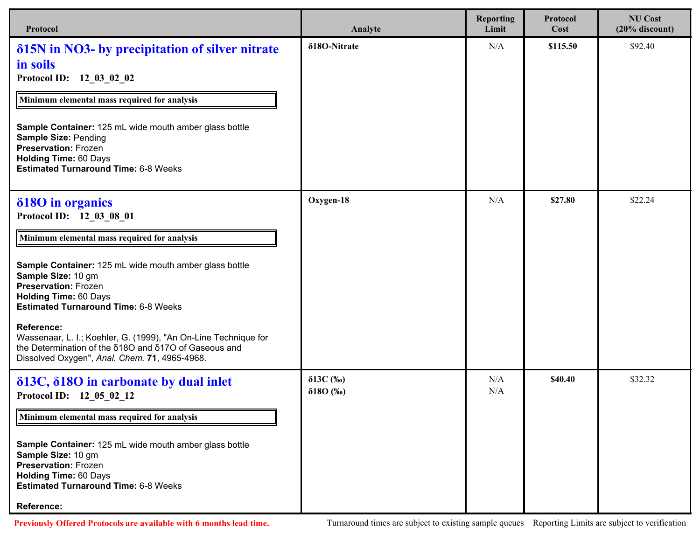| Protocol                                                                                                                                                                                                                                                                                                                                                                                                                                                                                     | Analyte                                    | <b>Reporting</b><br>Limit | Protocol<br>Cost | <b>NU Cost</b><br>$(20%$ discount) |
|----------------------------------------------------------------------------------------------------------------------------------------------------------------------------------------------------------------------------------------------------------------------------------------------------------------------------------------------------------------------------------------------------------------------------------------------------------------------------------------------|--------------------------------------------|---------------------------|------------------|------------------------------------|
| <b>815N</b> in NO3- by precipitation of silver nitrate<br>in soils<br>Protocol ID: 12_03_02_02<br>Minimum elemental mass required for analysis<br>Sample Container: 125 mL wide mouth amber glass bottle<br>Sample Size: Pending<br><b>Preservation: Frozen</b><br><b>Holding Time: 60 Days</b><br><b>Estimated Turnaround Time: 6-8 Weeks</b>                                                                                                                                               | δ18O-Nitrate                               | N/A                       | \$115.50         | \$92.40                            |
| δ180 in organics<br>Protocol ID: 12 03 08 01<br>Minimum elemental mass required for analysis<br>Sample Container: 125 mL wide mouth amber glass bottle<br>Sample Size: 10 gm<br><b>Preservation: Frozen</b><br><b>Holding Time: 60 Days</b><br><b>Estimated Turnaround Time: 6-8 Weeks</b><br><b>Reference:</b><br>Wassenaar, L. I.; Koehler, G. (1999), "An On-Line Technique for<br>the Determination of the δ180 and δ170 of Gaseous and<br>Dissolved Oxygen", Anal. Chem. 71, 4965-4968. | Oxygen-18                                  | N/A                       | \$27.80          | \$22.24                            |
| $\delta$ 13C, $\delta$ 18O in carbonate by dual inlet<br>Protocol ID: 12 05 02 12<br>Minimum elemental mass required for analysis<br>Sample Container: 125 mL wide mouth amber glass bottle<br>Sample Size: 10 gm<br><b>Preservation: Frozen</b><br><b>Holding Time: 60 Days</b><br><b>Estimated Turnaround Time: 6-8 Weeks</b><br><b>Reference:</b>                                                                                                                                         | $\delta$ 13C $(\%$ o)<br>$\delta 180$ (%o) | N/A<br>N/A                | \$40.40          | \$32.32                            |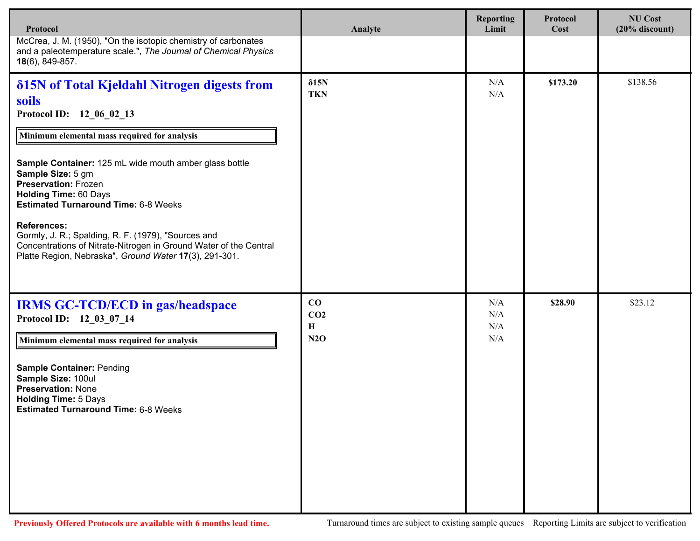| Protocol                                                                                                                                                                                                                                                                                                                                                                                                                                                                                                                                   | Analyte                           | <b>Reporting</b><br>Limit | Protocol<br>Cost | <b>NU Cost</b><br>$(20%$ discount) |
|--------------------------------------------------------------------------------------------------------------------------------------------------------------------------------------------------------------------------------------------------------------------------------------------------------------------------------------------------------------------------------------------------------------------------------------------------------------------------------------------------------------------------------------------|-----------------------------------|---------------------------|------------------|------------------------------------|
| McCrea, J. M. (1950), "On the isotopic chemistry of carbonates<br>and a paleotemperature scale.", The Journal of Chemical Physics<br>$18(6)$ , 849-857.                                                                                                                                                                                                                                                                                                                                                                                    |                                   |                           |                  |                                    |
| δ15N of Total Kjeldahl Nitrogen digests from<br>soils<br>Protocol ID: 12_06_02_13<br>Minimum elemental mass required for analysis<br>Sample Container: 125 mL wide mouth amber glass bottle<br>Sample Size: 5 gm<br><b>Preservation: Frozen</b><br><b>Holding Time: 60 Days</b><br><b>Estimated Turnaround Time: 6-8 Weeks</b><br><b>References:</b><br>Gormly, J. R.; Spalding, R. F. (1979), "Sources and<br>Concentrations of Nitrate-Nitrogen in Ground Water of the Central<br>Platte Region, Nebraska", Ground Water 17(3), 291-301. | $\delta$ 15N<br><b>TKN</b>        | N/A<br>N/A                | \$173.20         | \$138.56                           |
| <b>IRMS GC-TCD/ECD in gas/headspace</b><br>Protocol ID: 12 03 07 14<br>Minimum elemental mass required for analysis<br><b>Sample Container: Pending</b><br>Sample Size: 100ul<br><b>Preservation: None</b><br><b>Holding Time: 5 Days</b><br><b>Estimated Turnaround Time: 6-8 Weeks</b>                                                                                                                                                                                                                                                   | CO<br>CO <sub>2</sub><br>H<br>N2O | N/A<br>N/A<br>N/A<br>N/A  | \$28.90          | \$23.12                            |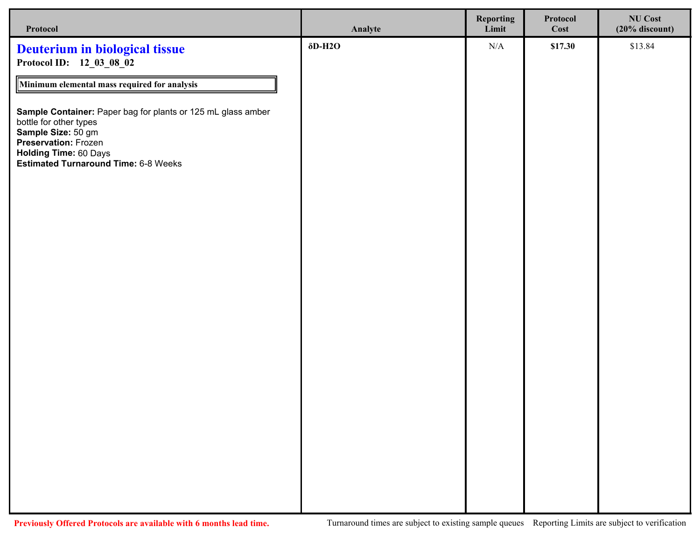| Protocol                                                                                                                                                                                                     | Analyte                     | <b>Reporting</b><br>Limit | Protocol<br>Cost | <b>NU Cost</b><br>$(20%$ discount) |
|--------------------------------------------------------------------------------------------------------------------------------------------------------------------------------------------------------------|-----------------------------|---------------------------|------------------|------------------------------------|
| <b>Deuterium in biological tissue</b><br>Protocol ID: 12_03_08_02                                                                                                                                            | $\delta$ D-H <sub>2</sub> O | N/A                       | \$17.30          | \$13.84                            |
| Minimum elemental mass required for analysis                                                                                                                                                                 |                             |                           |                  |                                    |
| Sample Container: Paper bag for plants or 125 mL glass amber<br>bottle for other types<br>Sample Size: 50 gm<br>Preservation: Frozen<br>Holding Time: 60 Days<br><b>Estimated Turnaround Time: 6-8 Weeks</b> |                             |                           |                  |                                    |
|                                                                                                                                                                                                              |                             |                           |                  |                                    |
|                                                                                                                                                                                                              |                             |                           |                  |                                    |
|                                                                                                                                                                                                              |                             |                           |                  |                                    |
|                                                                                                                                                                                                              |                             |                           |                  |                                    |
|                                                                                                                                                                                                              |                             |                           |                  |                                    |